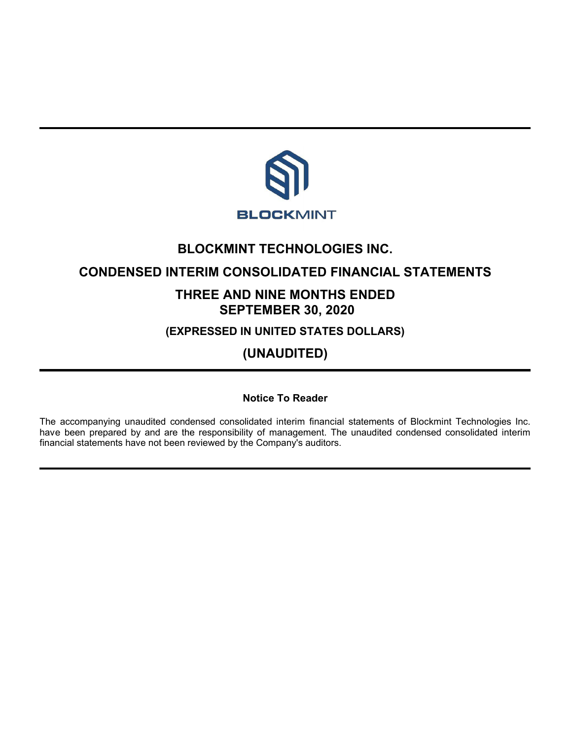

# **BLOCKMINT TECHNOLOGIES INC.**

# **CONDENSED INTERIM CONSOLIDATED FINANCIAL STATEMENTS**

# **THREE AND NINE MONTHS ENDED SEPTEMBER 30, 2020**

**(EXPRESSED IN UNITED STATES DOLLARS)**

**(UNAUDITED)**

**Notice To Reader**

The accompanying unaudited condensed consolidated interim financial statements of Blockmint Technologies Inc. have been prepared by and are the responsibility of management. The unaudited condensed consolidated interim financial statements have not been reviewed by the Company's auditors.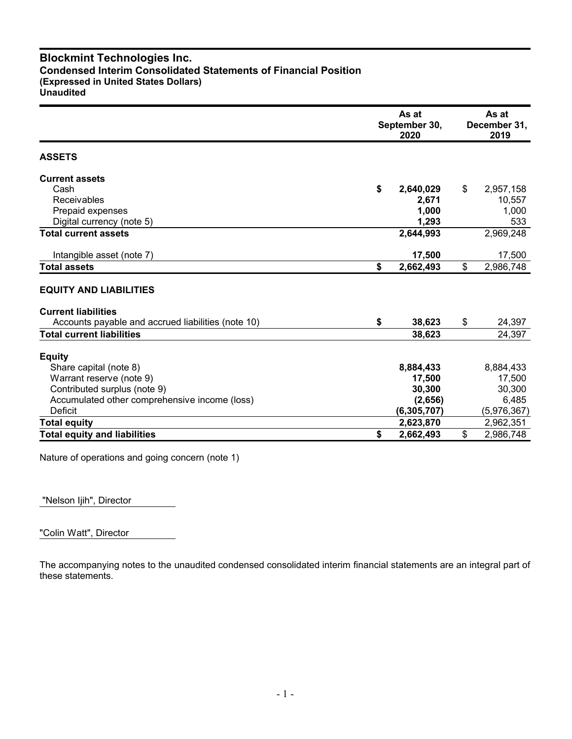# **Blockmint Technologies Inc. Condensed Interim Consolidated Statements of Financial Position (Expressed in United States Dollars) Unaudited**

|                                                    | September 30, | As at<br>December 31,<br>2019 |                 |
|----------------------------------------------------|---------------|-------------------------------|-----------------|
| <b>ASSETS</b>                                      |               |                               |                 |
| <b>Current assets</b>                              |               |                               |                 |
| Cash                                               | \$            | 2,640,029                     | \$<br>2,957,158 |
| Receivables                                        |               | 2,671                         | 10,557          |
| Prepaid expenses                                   |               | 1,000                         | 1,000           |
| Digital currency (note 5)                          |               | 1,293                         | 533             |
| <b>Total current assets</b>                        |               | 2,644,993                     | 2,969,248       |
| Intangible asset (note 7)                          |               | 17,500                        | 17,500          |
| <b>Total assets</b>                                | \$            | 2,662,493                     | \$<br>2,986,748 |
| <b>EQUITY AND LIABILITIES</b>                      |               |                               |                 |
| <b>Current liabilities</b>                         |               |                               |                 |
| Accounts payable and accrued liabilities (note 10) | \$            | 38,623                        | \$<br>24,397    |
| <b>Total current liabilities</b>                   |               | 38,623                        | 24,397          |
| <b>Equity</b>                                      |               |                               |                 |
| Share capital (note 8)                             |               | 8,884,433                     | 8,884,433       |
| Warrant reserve (note 9)                           |               | 17,500                        | 17,500          |
| Contributed surplus (note 9)                       |               | 30,300                        | 30,300          |
| Accumulated other comprehensive income (loss)      |               | (2,656)                       | 6,485           |
| Deficit                                            |               | (6, 305, 707)                 | (5,976,367)     |
| <b>Total equity</b>                                |               | 2,623,870                     | 2,962,351       |
| <b>Total equity and liabilities</b>                | \$            | 2,662,493                     | \$<br>2,986,748 |

Nature of operations and going concern (note 1)

"Nelson Ijih", Director

"Colin Watt", Director

The accompanying notes to the unaudited condensed consolidated interim financial statements are an integral part of these statements.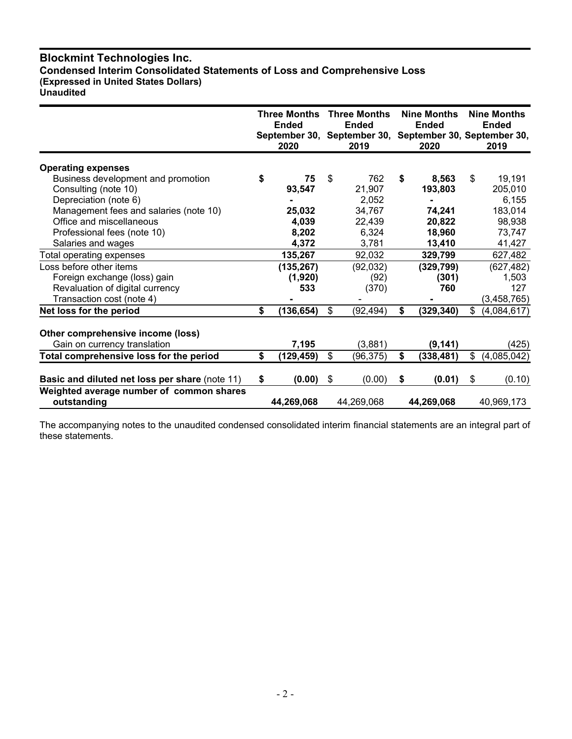# **Blockmint Technologies Inc. Condensed Interim Consolidated Statements of Loss and Comprehensive Loss (Expressed in United States Dollars) Unaudited**

|                                                | <b>Three Months</b><br><b>Ended</b><br>2020 |            | <b>Three Months</b><br><b>Ended</b><br>September 30, September 30, September 30, September 30,<br>2019 |            | <b>Nine Months</b><br><b>Ended</b><br>2020 | <b>Nine Months</b><br><b>Ended</b><br>2019 |
|------------------------------------------------|---------------------------------------------|------------|--------------------------------------------------------------------------------------------------------|------------|--------------------------------------------|--------------------------------------------|
|                                                |                                             |            |                                                                                                        |            |                                            |                                            |
| <b>Operating expenses</b>                      |                                             |            |                                                                                                        |            |                                            |                                            |
| Business development and promotion             | \$                                          | 75         | \$                                                                                                     | 762        | \$<br>8,563                                | \$<br>19,191                               |
| Consulting (note 10)                           |                                             | 93,547     |                                                                                                        | 21,907     | 193,803                                    | 205,010                                    |
| Depreciation (note 6)                          |                                             |            |                                                                                                        | 2,052      |                                            | 6,155                                      |
| Management fees and salaries (note 10)         |                                             | 25,032     |                                                                                                        | 34,767     | 74,241                                     | 183,014                                    |
| Office and miscellaneous                       |                                             | 4,039      |                                                                                                        | 22,439     | 20,822                                     | 98,938                                     |
| Professional fees (note 10)                    |                                             | 8,202      |                                                                                                        | 6,324      | 18,960                                     | 73,747                                     |
| Salaries and wages                             |                                             | 4,372      |                                                                                                        | 3,781      | 13,410                                     | 41,427                                     |
| Total operating expenses                       |                                             | 135,267    |                                                                                                        | 92,032     | 329,799                                    | 627,482                                    |
| Loss before other items                        |                                             | (135, 267) |                                                                                                        | (92, 032)  | (329, 799)                                 | (627, 482)                                 |
| Foreign exchange (loss) gain                   |                                             | (1,920)    |                                                                                                        | (92)       | (301)                                      | 1,503                                      |
| Revaluation of digital currency                |                                             | 533        |                                                                                                        | (370)      | 760                                        | 127                                        |
| Transaction cost (note 4)                      |                                             |            |                                                                                                        |            |                                            | (3, 458, 765)                              |
| Net loss for the period                        | \$                                          | (136, 654) | \$                                                                                                     | (92, 494)  | \$<br>(329, 340)                           | \$<br>(4,084,617)                          |
|                                                |                                             |            |                                                                                                        |            |                                            |                                            |
| Other comprehensive income (loss)              |                                             |            |                                                                                                        |            |                                            |                                            |
| Gain on currency translation                   |                                             | 7,195      |                                                                                                        | (3,881)    | (9, 141)                                   | (425)                                      |
| Total comprehensive loss for the period        | \$                                          | (129,459)  | \$                                                                                                     | (96, 375)  | \$<br>(338, 481)                           | \$<br>(4,085,042)                          |
| Basic and diluted net loss per share (note 11) | \$                                          | (0.00)     | \$                                                                                                     | (0.00)     | \$<br>(0.01)                               | \$<br>(0.10)                               |
| Weighted average number of common shares       |                                             |            |                                                                                                        |            |                                            |                                            |
| outstanding                                    |                                             | 44,269,068 |                                                                                                        | 44,269,068 | 44,269,068                                 | 40,969,173                                 |

The accompanying notes to the unaudited condensed consolidated interim financial statements are an integral part of these statements.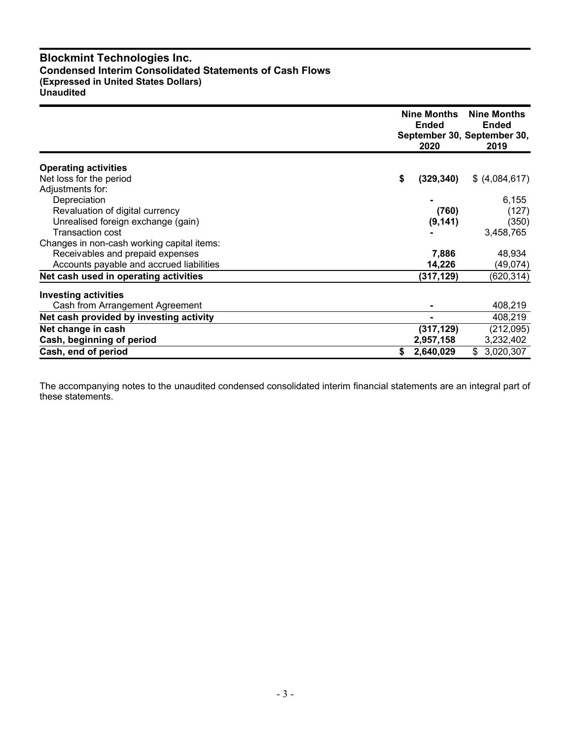# **Blockmint Technologies Inc. Condensed Interim Consolidated Statements of Cash Flows (Expressed in United States Dollars) Unaudited**

|                                            | Nine Months<br><b>Ended</b><br>2020 | <b>Nine Months</b><br><b>Ended</b><br>September 30, September 30,<br>2019 |
|--------------------------------------------|-------------------------------------|---------------------------------------------------------------------------|
| <b>Operating activities</b>                |                                     |                                                                           |
| Net loss for the period                    | \$<br>(329, 340)                    | \$ (4,084,617)                                                            |
| Adjustments for:                           |                                     |                                                                           |
| Depreciation                               |                                     | 6,155                                                                     |
| Revaluation of digital currency            | (760)                               | (127)                                                                     |
| Unrealised foreign exchange (gain)         | (9, 141)                            | (350)                                                                     |
| <b>Transaction cost</b>                    |                                     | 3,458,765                                                                 |
| Changes in non-cash working capital items: |                                     |                                                                           |
| Receivables and prepaid expenses           | 7,886                               | 48,934                                                                    |
| Accounts payable and accrued liabilities   | 14,226                              | (49,074)                                                                  |
| Net cash used in operating activities      | (317, 129)                          | (620,314)                                                                 |
| <b>Investing activities</b>                |                                     |                                                                           |
| Cash from Arrangement Agreement            |                                     | 408,219                                                                   |
| Net cash provided by investing activity    |                                     | 408,219                                                                   |
| Net change in cash                         | (317, 129)                          | (212,095)                                                                 |
| Cash, beginning of period                  | 2,957,158                           | 3,232,402                                                                 |
| Cash, end of period                        | 2,640,029<br>\$                     | 3,020,307<br>\$                                                           |

The accompanying notes to the unaudited condensed consolidated interim financial statements are an integral part of these statements.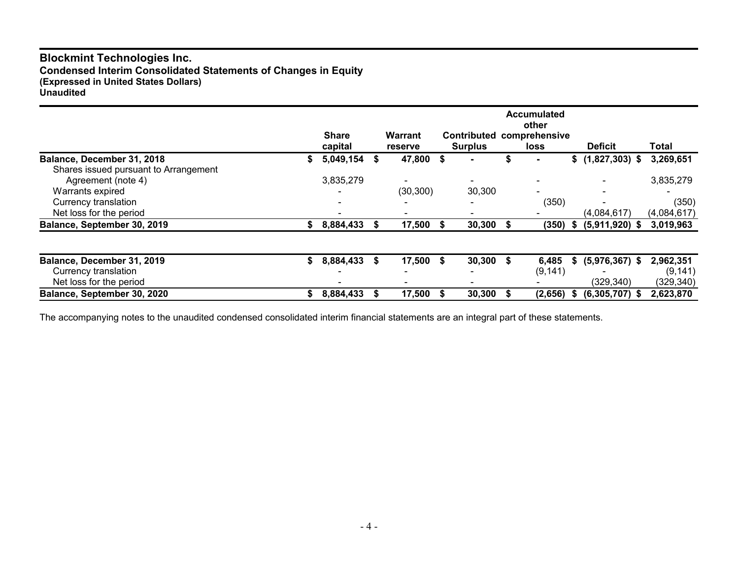# **Blockmint Technologies Inc. Condensed Interim Consolidated Statements of Changes in Equity (Expressed in United States Dollars) Unaudited**

|                                       |    | <b>Share</b> |   | Warrant                     |      | <b>Contributed</b>       |   | <b>Accumulated</b><br>other<br>comprehensive |      |                   |                    |
|---------------------------------------|----|--------------|---|-----------------------------|------|--------------------------|---|----------------------------------------------|------|-------------------|--------------------|
| Balance, December 31, 2018            |    | capital      | S | <b>reserve</b><br>47,800 \$ |      | <b>Surplus</b>           |   | loss                                         |      | <b>Deficit</b>    | Total<br>3,269,651 |
| Shares issued pursuant to Arrangement | ъ  | 5,049,154    |   |                             |      |                          |   |                                              |      | $$(1,827,303)$ \$ |                    |
| Agreement (note 4)                    |    | 3,835,279    |   | $\overline{\phantom{0}}$    |      | $\overline{\phantom{0}}$ |   |                                              |      |                   | 3,835,279          |
| Warrants expired                      |    |              |   | (30, 300)                   |      | 30,300                   |   |                                              |      |                   |                    |
| Currency translation                  |    |              |   |                             |      |                          |   | (350)                                        |      |                   | (350)              |
| Net loss for the period               |    |              |   |                             |      |                          |   |                                              |      | (4,084,617)       | (4,084,617)        |
| Balance, September 30, 2019           | S. | 8,884,433    |   | 17,500 \$                   |      | 30,300                   |   | (350)                                        | - \$ | $(5,911,920)$ \$  | 3,019,963          |
|                                       |    |              |   |                             |      |                          |   |                                              |      |                   |                    |
| Balance, December 31, 2019            | S. | 8,884,433    | S | 17,500                      | - \$ | 30,300                   | S | 6,485                                        | S.   | $(5,976,367)$ \$  | 2,962,351          |
| Currency translation                  |    |              |   |                             |      |                          |   | (9, 141)                                     |      |                   | (9, 141)           |
| Net loss for the period               |    |              |   |                             |      |                          |   |                                              |      | (329, 340)        | (329, 340)         |
| Balance, September 30, 2020           | \$ | 8,884,433    |   | 17,500 \$                   |      | 30,300                   |   | (2,656)                                      | S    | $(6,305,707)$ \$  | 2,623,870          |

The accompanying notes to the unaudited condensed consolidated interim financial statements are an integral part of these statements.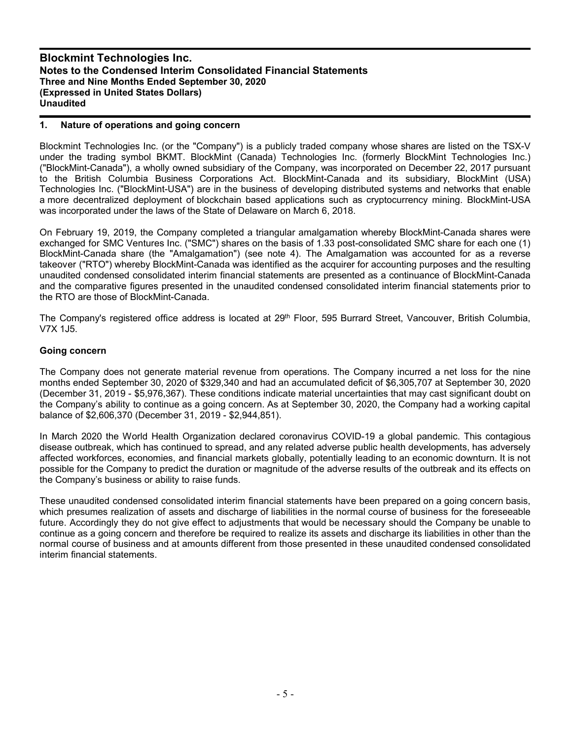## **1. Nature of operations and going concern**

Blockmint Technologies Inc. (or the "Company") is a publicly traded company whose shares are listed on the TSX-V under the trading symbol BKMT. BlockMint (Canada) Technologies Inc. (formerly BlockMint Technologies Inc.) ("BlockMint-Canada"), a wholly owned subsidiary of the Company, was incorporated on December 22, 2017 pursuant to the British Columbia Business Corporations Act. BlockMint-Canada and its subsidiary, BlockMint (USA) Technologies Inc. ("BlockMint-USA") are in the business of developing distributed systems and networks that enable a more decentralized deployment of blockchain based applications such as cryptocurrency mining. BlockMint-USA was incorporated under the laws of the State of Delaware on March 6, 2018.

On February 19, 2019, the Company completed a triangular amalgamation whereby BlockMint-Canada shares were exchanged for SMC Ventures Inc. ("SMC") shares on the basis of 1.33 post-consolidated SMC share for each one (1) BlockMint-Canada share (the "Amalgamation") (see note 4). The Amalgamation was accounted for as a reverse takeover ("RTO") whereby BlockMint-Canada was identified as the acquirer for accounting purposes and the resulting unaudited condensed consolidated interim financial statements are presented as a continuance of BlockMint-Canada and the comparative figures presented in the unaudited condensed consolidated interim financial statements prior to the RTO are those of BlockMint-Canada.

The Company's registered office address is located at 29<sup>th</sup> Floor, 595 Burrard Street, Vancouver, British Columbia, V7X 1J5.

## **Going concern**

The Company does not generate material revenue from operations. The Company incurred a net loss for the nine months ended September 30, 2020 of \$329,340 and had an accumulated deficit of \$6,305,707 at September 30, 2020 (December 31, 2019 - \$5,976,367). These conditions indicate material uncertainties that may cast significant doubt on the Company's ability to continue as a going concern. As at September 30, 2020, the Company had a working capital balance of \$2,606,370 (December 31, 2019 - \$2,944,851).

In March 2020 the World Health Organization declared coronavirus COVID-19 a global pandemic. This contagious disease outbreak, which has continued to spread, and any related adverse public health developments, has adversely affected workforces, economies, and financial markets globally, potentially leading to an economic downturn. It is not possible for the Company to predict the duration or magnitude of the adverse results of the outbreak and its effects on the Company's business or ability to raise funds.

These unaudited condensed consolidated interim financial statements have been prepared on a going concern basis, which presumes realization of assets and discharge of liabilities in the normal course of business for the foreseeable future. Accordingly they do not give effect to adjustments that would be necessary should the Company be unable to continue as a going concern and therefore be required to realize its assets and discharge its liabilities in other than the normal course of business and at amounts different from those presented in these unaudited condensed consolidated interim financial statements.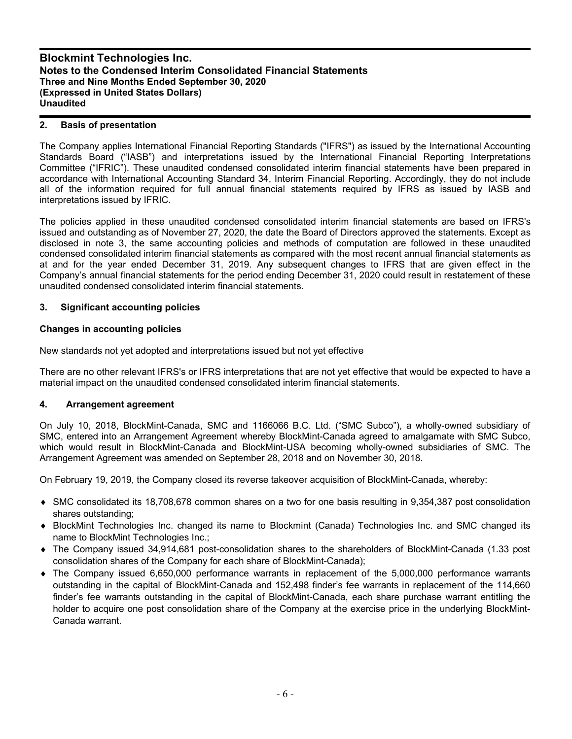## **2. Basis of presentation**

The Company applies International Financial Reporting Standards ("IFRS") as issued by the International Accounting Standards Board ("IASB") and interpretations issued by the International Financial Reporting Interpretations Committee ("IFRIC"). These unaudited condensed consolidated interim financial statements have been prepared in accordance with International Accounting Standard 34, Interim Financial Reporting. Accordingly, they do not include all of the information required for full annual financial statements required by IFRS as issued by IASB and interpretations issued by IFRIC.

The policies applied in these unaudited condensed consolidated interim financial statements are based on IFRS's issued and outstanding as of November 27, 2020, the date the Board of Directors approved the statements. Except as disclosed in note 3, the same accounting policies and methods of computation are followed in these unaudited condensed consolidated interim financial statements as compared with the most recent annual financial statements as at and for the year ended December 31, 2019. Any subsequent changes to IFRS that are given effect in the Company's annual financial statements for the period ending December 31, 2020 could result in restatement of these unaudited condensed consolidated interim financial statements.

## **3. Significant accounting policies**

## **Changes in accounting policies**

### New standards not yet adopted and interpretations issued but not yet effective

There are no other relevant IFRS's or IFRS interpretations that are not yet effective that would be expected to have a material impact on the unaudited condensed consolidated interim financial statements.

### **4. Arrangement agreement**

On July 10, 2018, BlockMint-Canada, SMC and 1166066 B.C. Ltd. ("SMC Subco"), a wholly-owned subsidiary of SMC, entered into an Arrangement Agreement whereby BlockMint-Canada agreed to amalgamate with SMC Subco, which would result in BlockMint-Canada and BlockMint-USA becoming wholly-owned subsidiaries of SMC. The Arrangement Agreement was amended on September 28, 2018 and on November 30, 2018.

On February 19, 2019, the Company closed its reverse takeover acquisition of BlockMint-Canada, whereby:

- SMC consolidated its 18,708,678 common shares on a two for one basis resulting in 9,354,387 post consolidation shares outstanding;
- BlockMint Technologies Inc. changed its name to Blockmint (Canada) Technologies Inc. and SMC changed its name to BlockMint Technologies Inc.;
- The Company issued 34,914,681 post-consolidation shares to the shareholders of BlockMint-Canada (1.33 post consolidation shares of the Company for each share of BlockMint-Canada);
- The Company issued 6,650,000 performance warrants in replacement of the 5,000,000 performance warrants outstanding in the capital of BlockMint-Canada and 152,498 finder's fee warrants in replacement of the 114,660 finder's fee warrants outstanding in the capital of BlockMint-Canada, each share purchase warrant entitling the holder to acquire one post consolidation share of the Company at the exercise price in the underlying BlockMint-Canada warrant.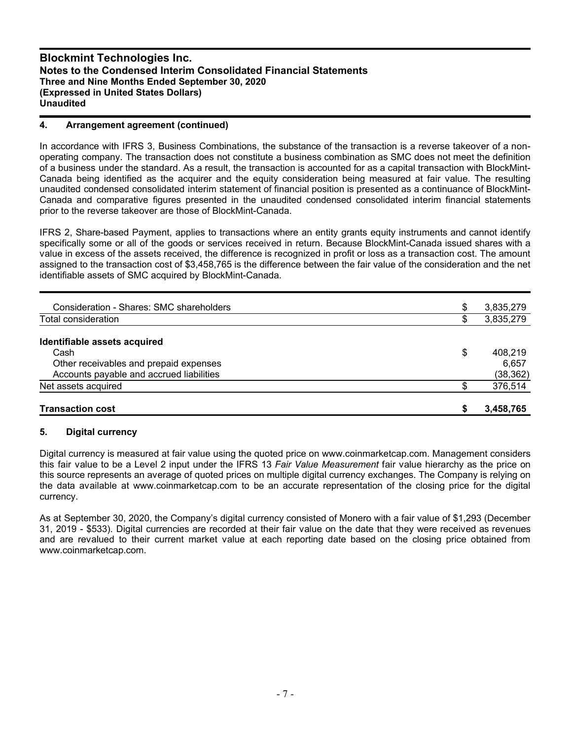# **4. Arrangement agreement (continued)**

In accordance with IFRS 3, Business Combinations, the substance of the transaction is a reverse takeover of a nonoperating company. The transaction does not constitute a business combination as SMC does not meet the definition of a business under the standard. As a result, the transaction is accounted for as a capital transaction with BlockMint-Canada being identified as the acquirer and the equity consideration being measured at fair value. The resulting unaudited condensed consolidated interim statement of financial position is presented as a continuance of BlockMint-Canada and comparative figures presented in the unaudited condensed consolidated interim financial statements prior to the reverse takeover are those of BlockMint-Canada.

IFRS 2, Share-based Payment, applies to transactions where an entity grants equity instruments and cannot identify specifically some or all of the goods or services received in return. Because BlockMint-Canada issued shares with a value in excess of the assets received, the difference is recognized in profit or loss as a transaction cost. The amount assigned to the transaction cost of \$3,458,765 is the difference between the fair value of the consideration and the net identifiable assets of SMC acquired by BlockMint-Canada.

| <b>Transaction cost</b>                  |    | 3,458,765 |
|------------------------------------------|----|-----------|
| Net assets acquired                      |    | 376,514   |
| Accounts payable and accrued liabilities |    | (38, 362) |
| Other receivables and prepaid expenses   |    | 6,657     |
| Cash                                     | \$ | 408.219   |
| Identifiable assets acquired             |    |           |
| Total consideration                      | D  | 3,835,279 |
|                                          |    |           |
| Consideration - Shares: SMC shareholders | \$ | 3,835,279 |

### **5. Digital currency**

Digital currency is measured at fair value using the quoted price on www.coinmarketcap.com. Management considers this fair value to be a Level 2 input under the IFRS 13 *Fair Value Measurement* fair value hierarchy as the price on this source represents an average of quoted prices on multiple digital currency exchanges. The Company is relying on the data available at www.coinmarketcap.com to be an accurate representation of the closing price for the digital currency.

As at September 30, 2020, the Company's digital currency consisted of Monero with a fair value of \$1,293 (December 31, 2019 - \$533). Digital currencies are recorded at their fair value on the date that they were received as revenues and are revalued to their current market value at each reporting date based on the closing price obtained from www.coinmarketcap.com.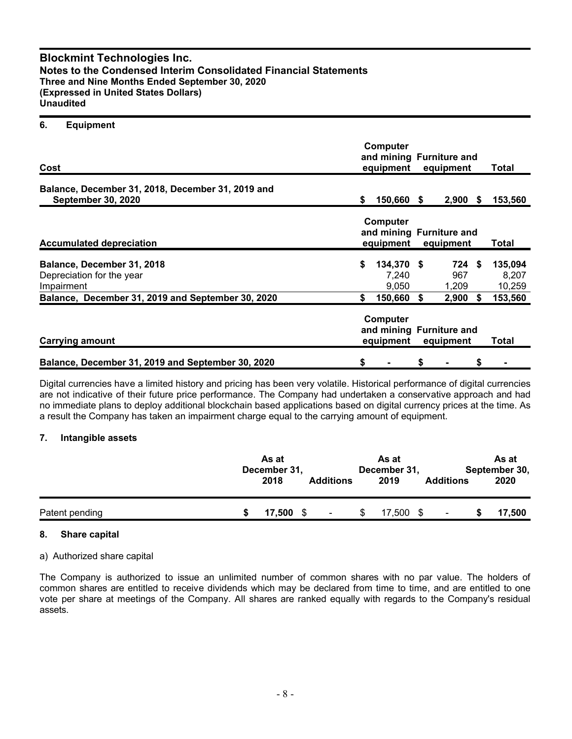#### **6. Equipment**

| Cost                                                                                                                       | <b>Computer</b><br>and mining Furniture and<br>equipment | Total                                                                 |           |                                 |      |                                       |
|----------------------------------------------------------------------------------------------------------------------------|----------------------------------------------------------|-----------------------------------------------------------------------|-----------|---------------------------------|------|---------------------------------------|
| Balance, December 31, 2018, December 31, 2019 and<br><b>September 30, 2020</b>                                             | \$                                                       | 150,660 \$                                                            |           | $2,900$ \$                      |      | 153,560                               |
| <b>Accumulated depreciation</b>                                                                                            |                                                          | <b>Computer</b><br>and mining Furniture and<br>equipment<br>equipment |           |                                 |      | Total                                 |
| Balance, December 31, 2018<br>Depreciation for the year<br>Impairment<br>Balance, December 31, 2019 and September 30, 2020 | \$<br>\$                                                 | 134,370 \$<br>7,240<br>9.050<br>150,660                               | \$        | 724 \$<br>967<br>1,209<br>2,900 | - \$ | 135,094<br>8,207<br>10,259<br>153,560 |
| <b>Carrying amount</b>                                                                                                     |                                                          | <b>Computer</b><br>and mining Furniture and<br>equipment              | equipment | Total                           |      |                                       |
| Balance, December 31, 2019 and September 30, 2020                                                                          | \$                                                       |                                                                       | \$        |                                 | \$   |                                       |

Digital currencies have a limited history and pricing has been very volatile. Historical performance of digital currencies are not indicative of their future price performance. The Company had undertaken a conservative approach and had no immediate plans to deploy additional blockchain based applications based on digital currency prices at the time. As a result the Company has taken an impairment charge equal to the carrying amount of equipment.

### **7. Intangible assets**

|                | As at<br>December 31,<br>2018 | <b>Additions</b> | As at<br>December 31,<br>2019 | <b>Additions</b> | As at<br>September 30,<br>2020 |
|----------------|-------------------------------|------------------|-------------------------------|------------------|--------------------------------|
| Patent pending | $17,500$ \$                   | $\blacksquare$   | 17,500 \$                     |                  | 17,500                         |

### **8. Share capital**

### a) Authorized share capital

The Company is authorized to issue an unlimited number of common shares with no par value. The holders of common shares are entitled to receive dividends which may be declared from time to time, and are entitled to one vote per share at meetings of the Company. All shares are ranked equally with regards to the Company's residual assets.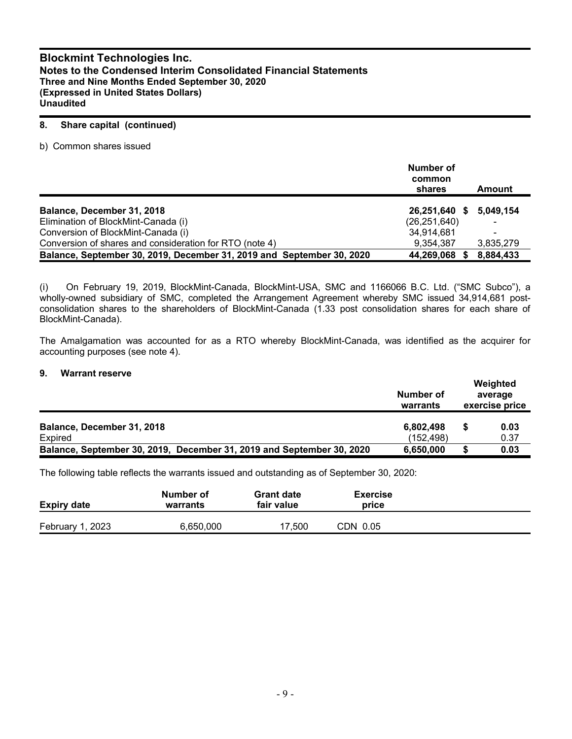## **8. Share capital (continued)**

b) Common shares issued

|                                                                       | Number of<br>common<br>shares | Amount    |
|-----------------------------------------------------------------------|-------------------------------|-----------|
| Balance, December 31, 2018                                            | 26,251,640 \$                 | 5.049.154 |
| Elimination of BlockMint-Canada (i)                                   | (26, 251, 640)                |           |
| Conversion of BlockMint-Canada (i)                                    | 34,914,681                    |           |
| Conversion of shares and consideration for RTO (note 4)               | 9.354.387                     | 3,835,279 |
| Balance, September 30, 2019, December 31, 2019 and September 30, 2020 | 44,269,068                    | 8,884,433 |

(i) On February 19, 2019, BlockMint-Canada, BlockMint-USA, SMC and 1166066 B.C. Ltd. ("SMC Subco"), a wholly-owned subsidiary of SMC, completed the Arrangement Agreement whereby SMC issued 34,914,681 postconsolidation shares to the shareholders of BlockMint-Canada (1.33 post consolidation shares for each share of BlockMint-Canada).

The Amalgamation was accounted for as a RTO whereby BlockMint-Canada, was identified as the acquirer for accounting purposes (see note 4).

#### **9. Warrant reserve**

|                                                                       | Number of<br>warrants   | Weighted<br>average<br>exercise price |
|-----------------------------------------------------------------------|-------------------------|---------------------------------------|
| Balance, December 31, 2018<br>Expired                                 | 6,802,498<br>(152, 498) | 0.03<br>0.37                          |
| Balance, September 30, 2019, December 31, 2019 and September 30, 2020 | 6,650,000               | 0.03                                  |

The following table reflects the warrants issued and outstanding as of September 30, 2020:

| <b>Expiry date</b> | Number of<br>warrants | <b>Grant date</b><br>fair value | <b>Exercise</b><br>price |  |
|--------------------|-----------------------|---------------------------------|--------------------------|--|
| February 1, 2023   | 6,650,000             | 17.500                          | CDN 0.05                 |  |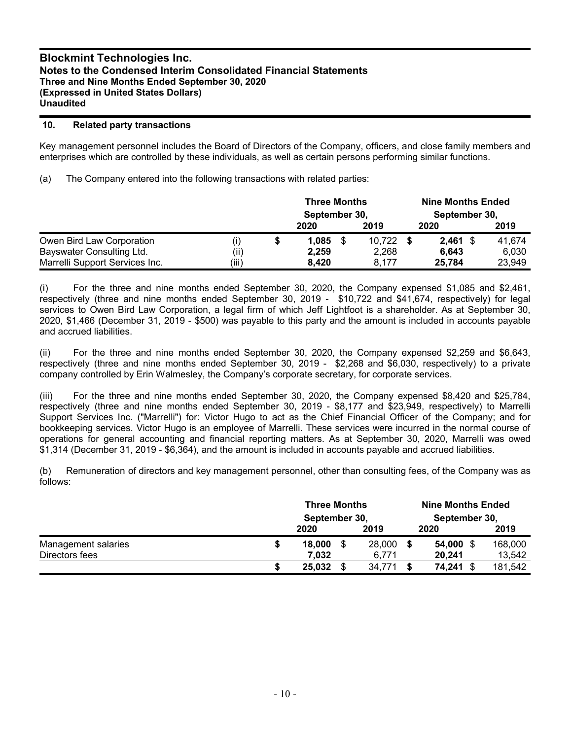## **10. Related party transactions**

Key management personnel includes the Board of Directors of the Company, officers, and close family members and enterprises which are controlled by these individuals, as well as certain persons performing similar functions.

(a) The Company entered into the following transactions with related parties:

|                                |       | <b>Three Months</b><br>September 30, |  |        | <b>Nine Months Ended</b><br>September 30, |        |
|--------------------------------|-------|--------------------------------------|--|--------|-------------------------------------------|--------|
|                                |       | 2020                                 |  | 2019   | 2020                                      | 2019   |
| Owen Bird Law Corporation      | (i)   | \$<br>1.085                          |  | 10.722 | $2.461$ \$                                | 41.674 |
| Bayswater Consulting Ltd.      | (ii)  | 2,259                                |  | 2.268  | 6.643                                     | 6.030  |
| Marrelli Support Services Inc. | (iii) | 8,420                                |  | 8.177  | 25.784                                    | 23,949 |

(i) For the three and nine months ended September 30, 2020, the Company expensed \$1,085 and \$2,461, respectively (three and nine months ended September 30, 2019 - \$10,722 and \$41,674, respectively) for legal services to Owen Bird Law Corporation, a legal firm of which Jeff Lightfoot is a shareholder. As at September 30, 2020, \$1,466 (December 31, 2019 - \$500) was payable to this party and the amount is included in accounts payable and accrued liabilities.

(ii) For the three and nine months ended September 30, 2020, the Company expensed \$2,259 and \$6,643, respectively (three and nine months ended September 30, 2019 - \$2,268 and \$6,030, respectively) to a private company controlled by Erin Walmesley, the Company's corporate secretary, for corporate services.

(iii) For the three and nine months ended September 30, 2020, the Company expensed \$8,420 and \$25,784, respectively (three and nine months ended September 30, 2019 - \$8,177 and \$23,949, respectively) to Marrelli Support Services Inc. ("Marrelli") for: Victor Hugo to act as the Chief Financial Officer of the Company; and for bookkeeping services. Victor Hugo is an employee of Marrelli. These services were incurred in the normal course of operations for general accounting and financial reporting matters. As at September 30, 2020, Marrelli was owed \$1,314 (December 31, 2019 - \$6,364), and the amount is included in accounts payable and accrued liabilities.

(b) Remuneration of directors and key management personnel, other than consulting fees, of the Company was as follows:

|                     |    | <b>Three Months</b><br>September 30, |    |        |  | <b>Nine Months Ended</b> |  |         |  |  |
|---------------------|----|--------------------------------------|----|--------|--|--------------------------|--|---------|--|--|
|                     |    |                                      |    |        |  | September 30,            |  |         |  |  |
|                     |    | 2020                                 |    | 2019   |  | 2020                     |  | 2019    |  |  |
| Management salaries | \$ | 18,000                               |    | 28,000 |  | 54,000 \$                |  | 168,000 |  |  |
| Directors fees      |    | 7.032                                |    | 6.771  |  | 20.241                   |  | 13,542  |  |  |
|                     | S  | 25,032                               | \$ | 34.771 |  | 74,241 \$                |  | 181,542 |  |  |